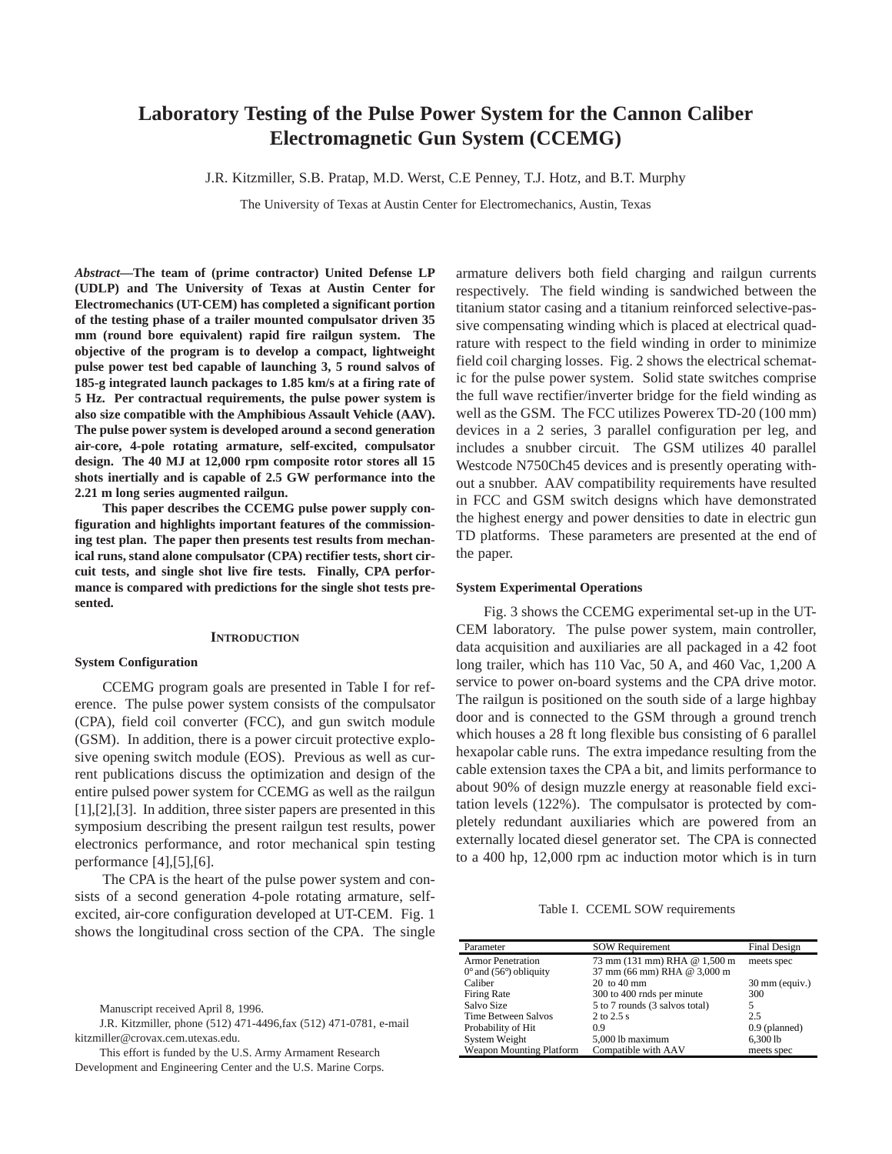# **Laboratory Testing of the Pulse Power System for the Cannon Caliber Electromagnetic Gun System (CCEMG)**

J.R. Kitzmiller, S.B. Pratap, M.D. Werst, C.E Penney, T.J. Hotz, and B.T. Murphy

The University of Texas at Austin Center for Electromechanics, Austin, Texas

*Abstract***—The team of (prime contractor) United Defense LP (UDLP) and The University of Texas at Austin Center for Electromechanics (UT-CEM) has completed a significant portion of the testing phase of a trailer mounted compulsator driven 35 mm (round bore equivalent) rapid fire railgun system. The objective of the program is to develop a compact, lightweight pulse power test bed capable of launching 3, 5 round salvos of 185-g integrated launch packages to 1.85 km/s at a firing rate of 5 Hz. Per contractual requirements, the pulse power system is also size compatible with the Amphibious Assault Vehicle (AAV). The pulse power system is developed around a second generation air-core, 4-pole rotating armature, self-excited, compulsator design. The 40 MJ at 12,000 rpm composite rotor stores all 15 shots inertially and is capable of 2.5 GW performance into the 2.21 m long series augmented railgun.** 

**This paper describes the CCEMG pulse power supply configuration and highlights important features of the commissioning test plan. The paper then presents test results from mechanical runs, stand alone compulsator (CPA) rectifier tests, short circuit tests, and single shot live fire tests. Finally, CPA performance is compared with predictions for the single shot tests presented.** 

#### **INTRODUCTION**

#### **System Configuration**

CCEMG program goals are presented in Table I for reference. The pulse power system consists of the compulsator (CPA), field coil converter (FCC), and gun switch module (GSM). In addition, there is a power circuit protective explosive opening switch module (EOS). Previous as well as current publications discuss the optimization and design of the entire pulsed power system for CCEMG as well as the railgun [1],[2],[3]. In addition, three sister papers are presented in this symposium describing the present railgun test results, power electronics performance, and rotor mechanical spin testing performance [4],[5],[6].

The CPA is the heart of the pulse power system and consists of a second generation 4-pole rotating armature, selfexcited, air-core configuration developed at UT-CEM. Fig. 1 shows the longitudinal cross section of the CPA. The single

This effort is funded by the U.S. Army Armament Research Development and Engineering Center and the U.S. Marine Corps. armature delivers both field charging and railgun currents respectively. The field winding is sandwiched between the titanium stator casing and a titanium reinforced selective-passive compensating winding which is placed at electrical quadrature with respect to the field winding in order to minimize field coil charging losses. Fig. 2 shows the electrical schematic for the pulse power system. Solid state switches comprise the full wave rectifier/inverter bridge for the field winding as well as the GSM. The FCC utilizes Powerex TD-20 (100 mm) devices in a 2 series, 3 parallel configuration per leg, and includes a snubber circuit. The GSM utilizes 40 parallel Westcode N750Ch45 devices and is presently operating without a snubber. AAV compatibility requirements have resulted in FCC and GSM switch designs which have demonstrated the highest energy and power densities to date in electric gun TD platforms. These parameters are presented at the end of the paper.

#### **System Experimental Operations**

Fig. 3 shows the CCEMG experimental set-up in the UT-CEM laboratory. The pulse power system, main controller, data acquisition and auxiliaries are all packaged in a 42 foot long trailer, which has 110 Vac, 50 A, and 460 Vac, 1,200 A service to power on-board systems and the CPA drive motor. The railgun is positioned on the south side of a large highbay door and is connected to the GSM through a ground trench which houses a 28 ft long flexible bus consisting of 6 parallel hexapolar cable runs. The extra impedance resulting from the cable extension taxes the CPA a bit, and limits performance to about 90% of design muzzle energy at reasonable field excitation levels (122%). The compulsator is protected by completely redundant auxiliaries which are powered from an externally located diesel generator set. The CPA is connected to a 400 hp, 12,000 rpm ac induction motor which is in turn

Table I. CCEML SOW requirements

| Parameter                                  | <b>SOW Requirement</b>         | Final Design             |
|--------------------------------------------|--------------------------------|--------------------------|
| <b>Armor Penetration</b>                   | 73 mm (131 mm) RHA @ 1,500 m   | meets spec               |
| $0^{\circ}$ and (56 $^{\circ}$ ) obliquity | 37 mm (66 mm) RHA @ 3,000 m    |                          |
| Caliber                                    | $20 \text{ to } 40 \text{ mm}$ | $30 \text{ mm}$ (equiv.) |
| Firing Rate                                | 300 to 400 rnds per minute     | 300                      |
| Salvo Size                                 | 5 to 7 rounds (3 salvos total) | 5                        |
| Time Between Salvos                        | $2$ to $2.5$ s                 | 2.5                      |
| Probability of Hit                         | 0.9                            | $0.9$ (planned)          |
| System Weight                              | 5,000 lb maximum               | 6,300 lb                 |
| <b>Weapon Mounting Platform</b>            | Compatible with AAV            | meets spec               |

Manuscript received April 8, 1996.

J.R. Kitzmiller, phone (512) 471-4496,fax (512) 471-0781, e-mail kitzmiller@crovax.cem.utexas.edu.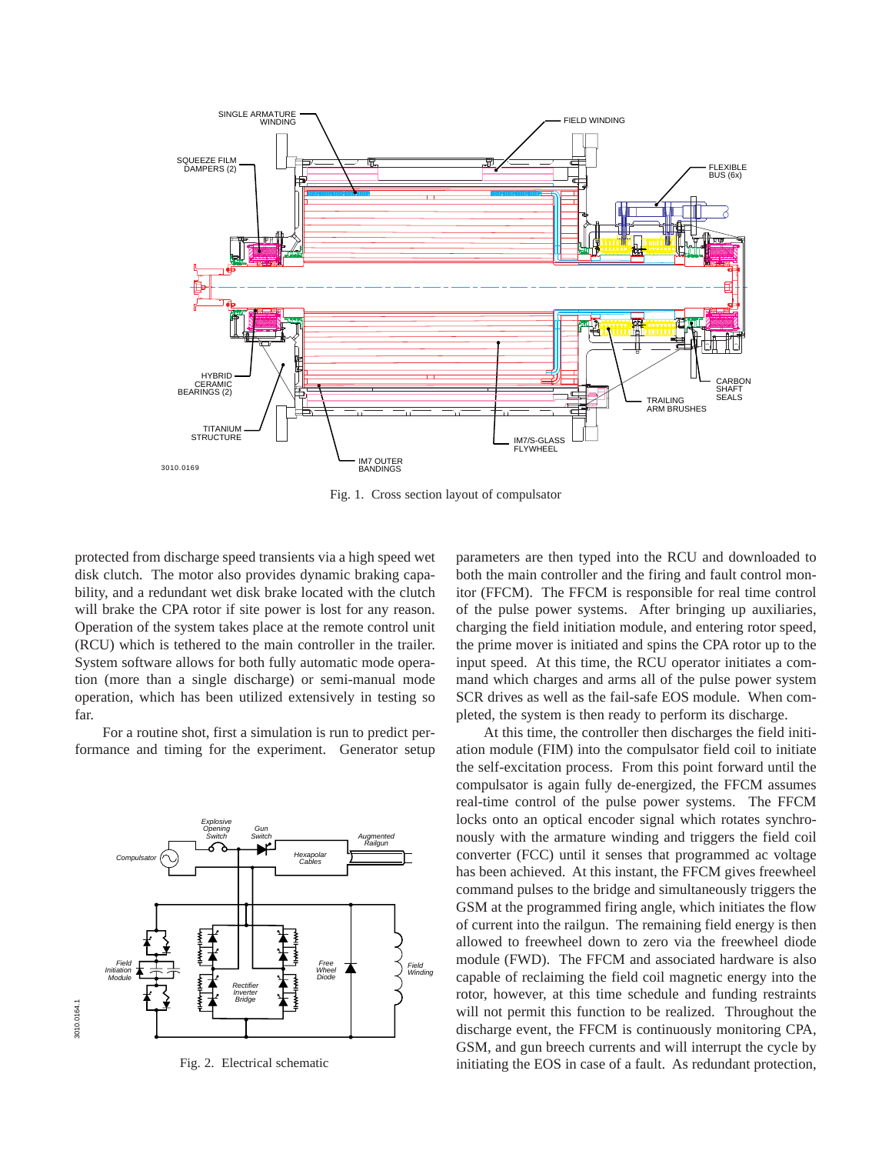

Fig. 1. Cross section layout of compulsator

protected from discharge speed transients via a high speed wet disk clutch. The motor also provides dynamic braking capability, and a redundant wet disk brake located with the clutch will brake the CPA rotor if site power is lost for any reason. Operation of the system takes place at the remote control unit (RCU) which is tethered to the main controller in the trailer. System software allows for both fully automatic mode operation (more than a single discharge) or semi-manual mode operation, which has been utilized extensively in testing so far.

For a routine shot, first a simulation is run to predict performance and timing for the experiment. Generator setup



Fig. 2. Electrical schematic

parameters are then typed into the RCU and downloaded to both the main controller and the firing and fault control monitor (FFCM). The FFCM is responsible for real time control of the pulse power systems. After bringing up auxiliaries, charging the field initiation module, and entering rotor speed, the prime mover is initiated and spins the CPA rotor up to the input speed. At this time, the RCU operator initiates a command which charges and arms all of the pulse power system SCR drives as well as the fail-safe EOS module. When completed, the system is then ready to perform its discharge.

At this time, the controller then discharges the field initiation module (FIM) into the compulsator field coil to initiate the self-excitation process. From this point forward until the compulsator is again fully de-energized, the FFCM assumes real-time control of the pulse power systems. The FFCM locks onto an optical encoder signal which rotates synchronously with the armature winding and triggers the field coil converter (FCC) until it senses that programmed ac voltage has been achieved. At this instant, the FFCM gives freewheel command pulses to the bridge and simultaneously triggers the GSM at the programmed firing angle, which initiates the flow of current into the railgun. The remaining field energy is then allowed to freewheel down to zero via the freewheel diode module (FWD). The FFCM and associated hardware is also capable of reclaiming the field coil magnetic energy into the rotor, however, at this time schedule and funding restraints will not permit this function to be realized. Throughout the discharge event, the FFCM is continuously monitoring CPA, GSM, and gun breech currents and will interrupt the cycle by initiating the EOS in case of a fault. As redundant protection,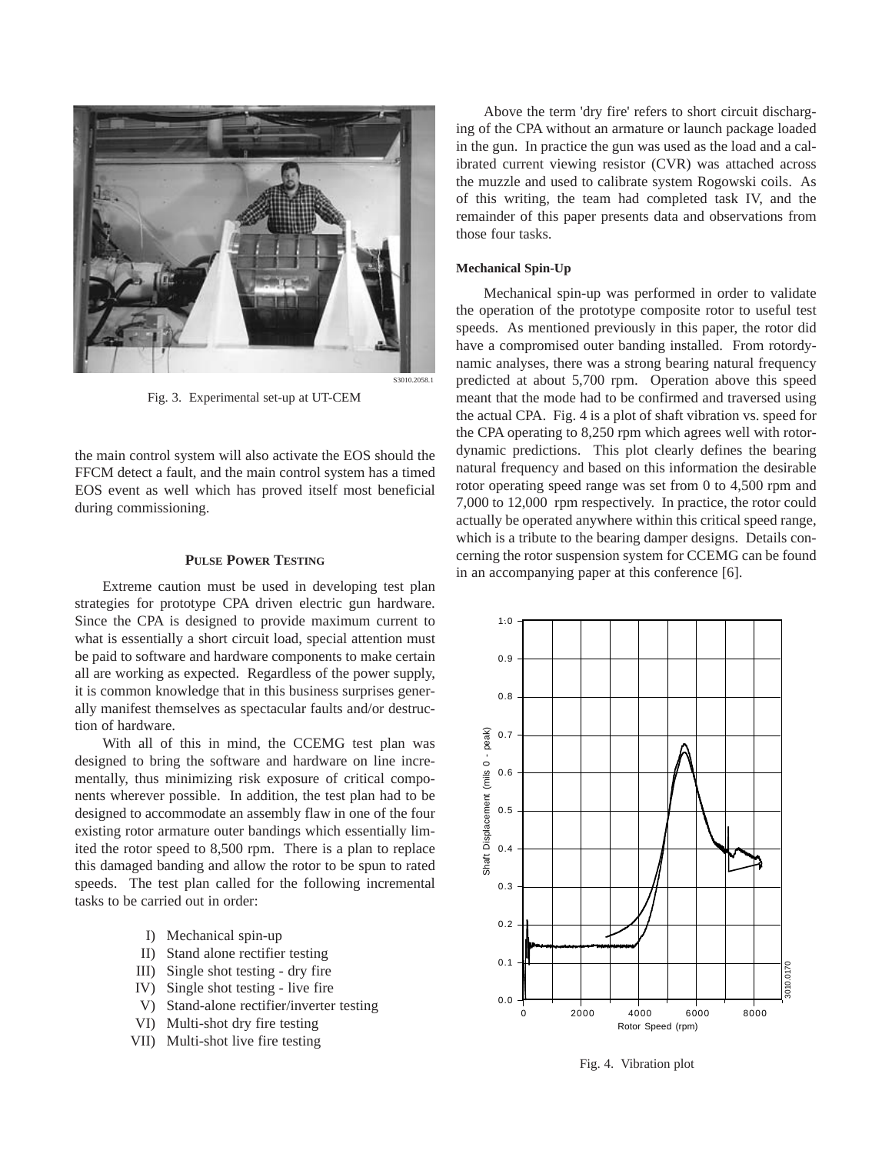

Fig. 3. Experimental set-up at UT-CEM

the main control system will also activate the EOS should the FFCM detect a fault, and the main control system has a timed EOS event as well which has proved itself most beneficial during commissioning.

## **PULSE POWER TESTING**

Extreme caution must be used in developing test plan strategies for prototype CPA driven electric gun hardware. Since the CPA is designed to provide maximum current to what is essentially a short circuit load, special attention must be paid to software and hardware components to make certain all are working as expected. Regardless of the power supply, it is common knowledge that in this business surprises generally manifest themselves as spectacular faults and/or destruction of hardware.

With all of this in mind, the CCEMG test plan was designed to bring the software and hardware on line incrementally, thus minimizing risk exposure of critical components wherever possible. In addition, the test plan had to be designed to accommodate an assembly flaw in one of the four existing rotor armature outer bandings which essentially limited the rotor speed to 8,500 rpm. There is a plan to replace this damaged banding and allow the rotor to be spun to rated speeds. The test plan called for the following incremental tasks to be carried out in order:

- I) Mechanical spin-up
- II) Stand alone rectifier testing
- III) Single shot testing dry fire
- IV) Single shot testing live fire
- V) Stand-alone rectifier/inverter testing
- VI) Multi-shot dry fire testing
- VII) Multi-shot live fire testing

Above the term 'dry fire' refers to short circuit discharging of the CPA without an armature or launch package loaded in the gun. In practice the gun was used as the load and a calibrated current viewing resistor (CVR) was attached across the muzzle and used to calibrate system Rogowski coils. As of this writing, the team had completed task IV, and the remainder of this paper presents data and observations from those four tasks.

### **Mechanical Spin-Up**

Mechanical spin-up was performed in order to validate the operation of the prototype composite rotor to useful test speeds. As mentioned previously in this paper, the rotor did have a compromised outer banding installed. From rotordynamic analyses, there was a strong bearing natural frequency predicted at about 5,700 rpm. Operation above this speed meant that the mode had to be confirmed and traversed using the actual CPA. Fig. 4 is a plot of shaft vibration vs. speed for the CPA operating to 8,250 rpm which agrees well with rotordynamic predictions. This plot clearly defines the bearing natural frequency and based on this information the desirable rotor operating speed range was set from 0 to 4,500 rpm and 7,000 to 12,000 rpm respectively. In practice, the rotor could actually be operated anywhere within this critical speed range, which is a tribute to the bearing damper designs. Details concerning the rotor suspension system for CCEMG can be found in an accompanying paper at this conference [6].



Fig. 4. Vibration plot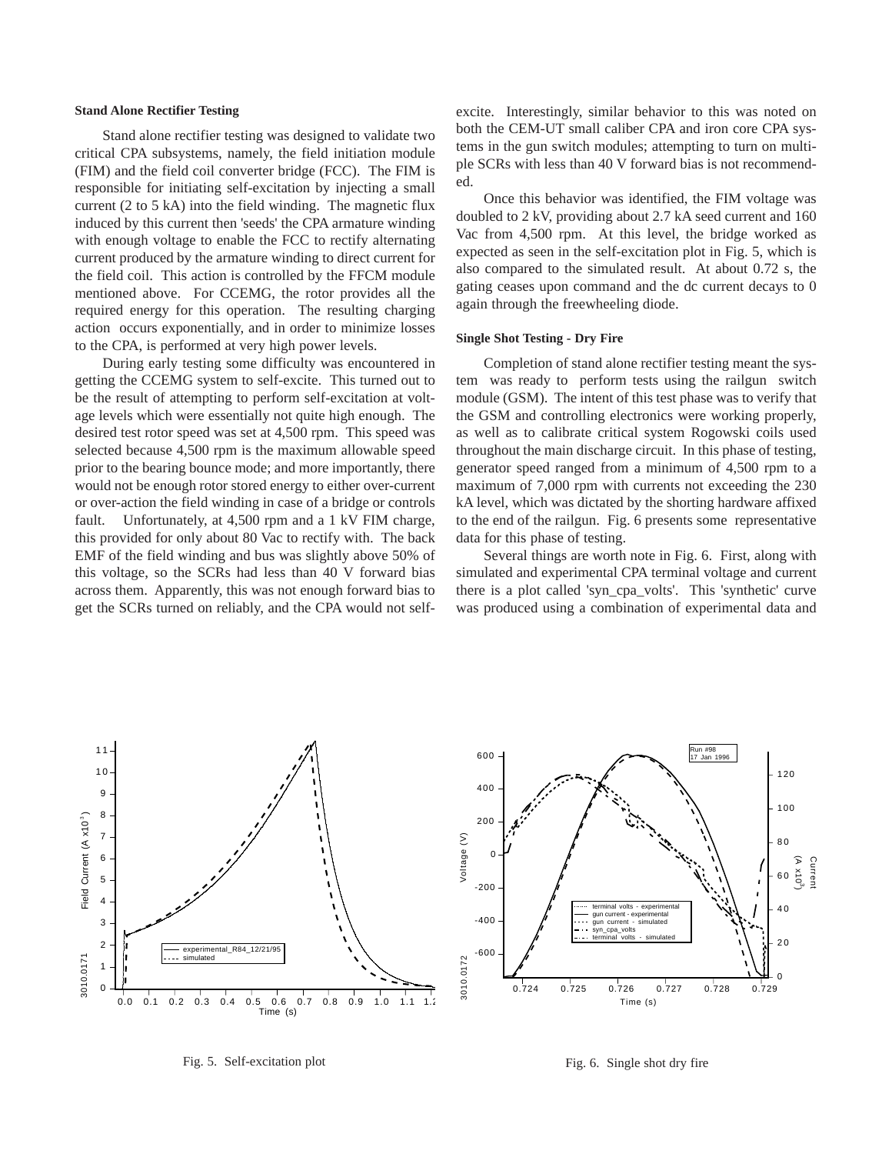# **Stand Alone Rectifier Testing**

Stand alone rectifier testing was designed to validate two critical CPA subsystems, namely, the field initiation module (FIM) and the field coil converter bridge (FCC). The FIM is responsible for initiating self-excitation by injecting a small current (2 to 5 kA) into the field winding. The magnetic flux induced by this current then 'seeds' the CPA armature winding with enough voltage to enable the FCC to rectify alternating current produced by the armature winding to direct current for the field coil. This action is controlled by the FFCM module mentioned above. For CCEMG, the rotor provides all the required energy for this operation. The resulting charging action occurs exponentially, and in order to minimize losses to the CPA, is performed at very high power levels.

During early testing some difficulty was encountered in getting the CCEMG system to self-excite. This turned out to be the result of attempting to perform self-excitation at voltage levels which were essentially not quite high enough. The desired test rotor speed was set at 4,500 rpm. This speed was selected because 4,500 rpm is the maximum allowable speed prior to the bearing bounce mode; and more importantly, there would not be enough rotor stored energy to either over-current or over-action the field winding in case of a bridge or controls fault. Unfortunately, at 4,500 rpm and a 1 kV FIM charge, this provided for only about 80 Vac to rectify with. The back EMF of the field winding and bus was slightly above 50% of this voltage, so the SCRs had less than 40 V forward bias across them. Apparently, this was not enough forward bias to get the SCRs turned on reliably, and the CPA would not selfexcite. Interestingly, similar behavior to this was noted on both the CEM-UT small caliber CPA and iron core CPA systems in the gun switch modules; attempting to turn on multiple SCRs with less than 40 V forward bias is not recommended.

Once this behavior was identified, the FIM voltage was doubled to 2 kV, providing about 2.7 kA seed current and 160 Vac from 4,500 rpm. At this level, the bridge worked as expected as seen in the self-excitation plot in Fig. 5, which is also compared to the simulated result. At about 0.72 s, the gating ceases upon command and the dc current decays to 0 again through the freewheeling diode.

## **Single Shot Testing - Dry Fire**

Completion of stand alone rectifier testing meant the system was ready to perform tests using the railgun switch module (GSM). The intent of this test phase was to verify that the GSM and controlling electronics were working properly, as well as to calibrate critical system Rogowski coils used throughout the main discharge circuit. In this phase of testing, generator speed ranged from a minimum of 4,500 rpm to a maximum of 7,000 rpm with currents not exceeding the 230 kA level, which was dictated by the shorting hardware affixed to the end of the railgun. Fig. 6 presents some representative data for this phase of testing.

Several things are worth note in Fig. 6. First, along with simulated and experimental CPA terminal voltage and current there is a plot called 'syn\_cpa\_volts'. This 'synthetic' curve was produced using a combination of experimental data and



Fig. 5. Self-excitation plot

Fig. 6. Single shot dry fire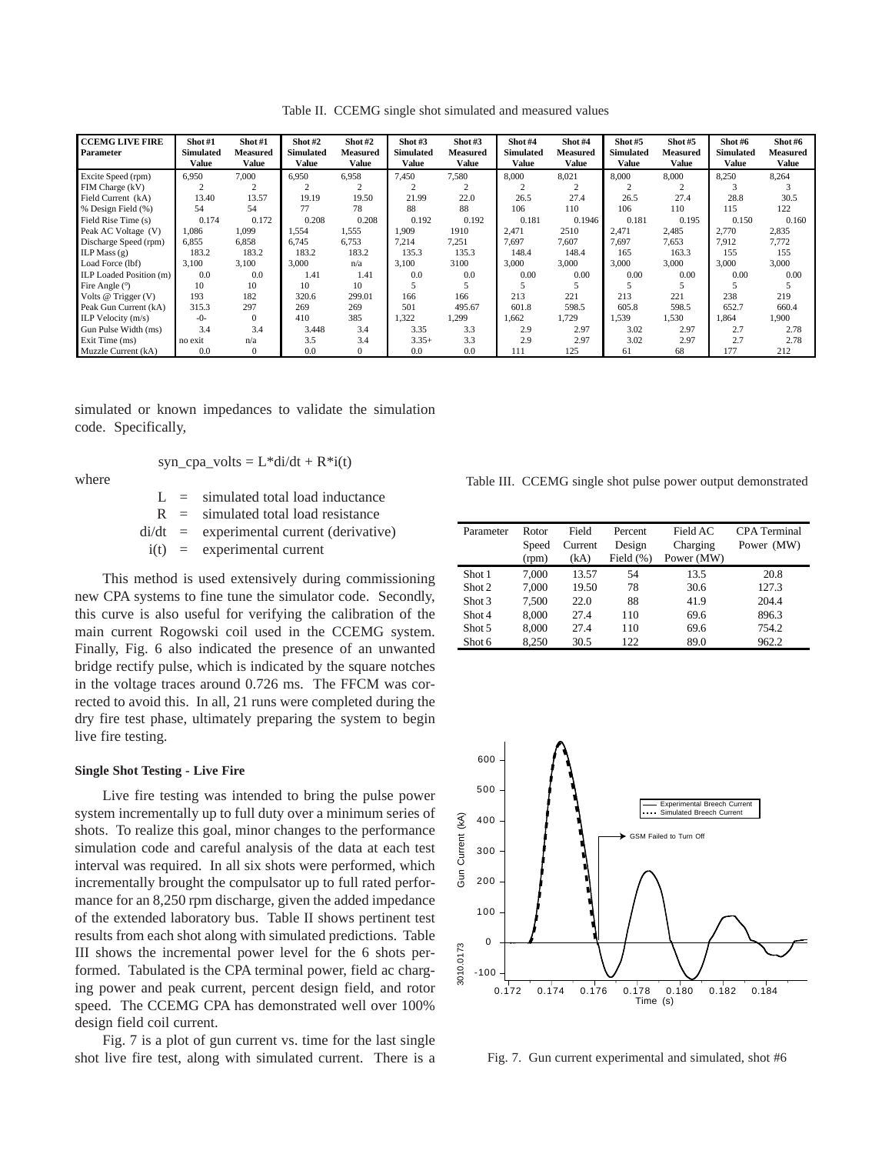| Table II. CCEMG single shot simulated and measured values |  |  |  |  |  |  |  |
|-----------------------------------------------------------|--|--|--|--|--|--|--|
|-----------------------------------------------------------|--|--|--|--|--|--|--|

| <b>CCEMG LIVE FIRE</b><br>Parameter | Shot#1<br><b>Simulated</b><br>Value | $\textbf{Short}\#1$<br><b>Measured</b><br><b>Value</b> | Shot#2<br><b>Simulated</b><br>Value | Shot #2<br><b>Measured</b><br>Value | Shot#3<br><b>Simulated</b><br>Value | Shot $#3$<br><b>Measured</b><br>Value | Shot#4<br><b>Simulated</b><br>Value | Shot#4<br><b>Measured</b><br>Value | Shot#5<br><b>Simulated</b><br><b>Value</b> | Shot#5<br>Measured<br>Value | Shot #6<br><b>Simulated</b><br><b>Value</b> | Shot #6<br>Measured<br>Value |
|-------------------------------------|-------------------------------------|--------------------------------------------------------|-------------------------------------|-------------------------------------|-------------------------------------|---------------------------------------|-------------------------------------|------------------------------------|--------------------------------------------|-----------------------------|---------------------------------------------|------------------------------|
| Excite Speed (rpm)                  | 6,950                               | 7.000                                                  | 6,950                               | 6,958                               | 7,450                               | 7,580                                 | 8,000                               | 8,021                              | 8,000                                      | 8,000                       | 8,250                                       | 8,264                        |
| FIM Charge (kV)                     |                                     | $\overline{c}$                                         |                                     |                                     |                                     |                                       |                                     | $\overline{c}$                     |                                            |                             | 3                                           |                              |
| Field Current (kA)                  | 13.40                               | 13.57                                                  | 19.19                               | 19.50                               | 21.99                               | 22.0                                  | 26.5                                | 27.4                               | 26.5                                       | 27.4                        | 28.8                                        | 30.5                         |
| % Design Field (%)                  | 54                                  | 54                                                     | 77                                  | 78                                  | 88                                  | 88                                    | 106                                 | 110                                | 106                                        | 110                         | 115                                         | 122                          |
| Field Rise Time (s)                 | 0.174                               | 0.172                                                  | 0.208                               | 0.208                               | 0.192                               | 0.192                                 | 0.181                               | 0.1946                             | 0.181                                      | 0.195                       | 0.150                                       | 0.160                        |
| Peak AC Voltage (V)                 | 1.086                               | 1.099                                                  | 1.554                               | 1,555                               | 1.909                               | 1910                                  | 2.471                               | 2510                               | 2.471                                      | 2,485                       | 2.770                                       | 2,835                        |
| Discharge Speed (rpm)               | 6.855                               | 6,858                                                  | 6,745                               | 6,753                               | 7,214                               | 7,251                                 | 7,697                               | 7,607                              | 7,697                                      | 7,653                       | 7,912                                       | 7,772                        |
| ILP Mass $(g)$                      | 183.2                               | 183.2                                                  | 183.2                               | 183.2                               | 135.3                               | 135.3                                 | 148.4                               | 148.4                              | 165                                        | 163.3                       | 155                                         | 155                          |
| Load Force (lbf)                    | 3,100                               | 3,100                                                  | 3,000                               | n/a                                 | 3,100                               | 3100                                  | 3,000                               | 3,000                              | 3,000                                      | 3,000                       | 3,000                                       | 3,000                        |
| ILP Loaded Position (m)             | 0.0                                 | 0.0                                                    | 1.41                                | 1.41                                | 0.0                                 | 0.0                                   | 0.00                                | 0.00                               | 0.00                                       | 0.00                        | 0.00                                        | 0.00                         |
| Fire Angle $(°)$                    | 10                                  | 10                                                     | 10                                  | 10                                  |                                     |                                       |                                     |                                    |                                            |                             |                                             |                              |
| Volts $@$ Trigger $(V)$             | 193                                 | 182                                                    | 320.6                               | 299.01                              | 166                                 | 166                                   | 213                                 | 221                                | 213                                        | 221                         | 238                                         | 219                          |
| Peak Gun Current (kA)               | 315.3                               | 297                                                    | 269                                 | 269                                 | 501                                 | 495.67                                | 601.8                               | 598.5                              | 605.8                                      | 598.5                       | 652.7                                       | 660.4                        |
| ILP Velocity $(m/s)$                | $-0-$                               | $\Omega$                                               | 410                                 | 385                                 | 1,322                               | 1,299                                 | 1,662                               | 1,729                              | 1,539                                      | 1,530                       | 1,864                                       | 1,900                        |
| Gun Pulse Width (ms)                | 3.4                                 | 3.4                                                    | 3.448                               | 3.4                                 | 3.35                                | 3.3                                   | 2.9                                 | 2.97                               | 3.02                                       | 2.97                        | 2.7                                         | 2.78                         |
| Exit Time (ms)                      | no exit                             | n/a                                                    | 3.5                                 | 3.4                                 | $3.35+$                             | 3.3                                   | 2.9                                 | 2.97                               | 3.02                                       | 2.97                        | 2.7                                         | 2.78                         |
| Muzzle Current (kA)                 | 0.0                                 | $\Omega$                                               | 0.0                                 | $\Omega$                            | 0.0                                 | 0.0                                   | 111                                 | 125                                | 61                                         | 68                          | 177                                         | 212                          |

simulated or known impedances to validate the simulation code. Specifically,

where

$$
syn\_cpa\_volts = L^*di/dt + R^*i(t)
$$

 $L =$  simulated total load inductance  $R =$  simulated total load resistance di/dt = experimental current (derivative)  $i(t)$  = experimental current

This method is used extensively during commissioning new CPA systems to fine tune the simulator code. Secondly, this curve is also useful for verifying the calibration of the main current Rogowski coil used in the CCEMG system. Finally, Fig. 6 also indicated the presence of an unwanted bridge rectify pulse, which is indicated by the square notches in the voltage traces around 0.726 ms. The FFCM was corrected to avoid this. In all, 21 runs were completed during the dry fire test phase, ultimately preparing the system to begin live fire testing.

# **Single Shot Testing - Live Fire**

Live fire testing was intended to bring the pulse power system incrementally up to full duty over a minimum series of shots. To realize this goal, minor changes to the performance simulation code and careful analysis of the data at each test interval was required. In all six shots were performed, which incrementally brought the compulsator up to full rated performance for an 8,250 rpm discharge, given the added impedance of the extended laboratory bus. Table II shows pertinent test results from each shot along with simulated predictions. Table III shows the incremental power level for the 6 shots performed. Tabulated is the CPA terminal power, field ac charging power and peak current, percent design field, and rotor speed. The CCEMG CPA has demonstrated well over 100% design field coil current.

Fig. 7 is a plot of gun current vs. time for the last single shot live fire test, along with simulated current. There is a

Table III. CCEMG single shot pulse power output demonstrated

| Parameter | Rotor<br>Speed<br>(rpm) | Field<br>Current<br>(kA) | Percent<br>Design<br>Field $(\% )$ | Field AC<br>Charging<br>Power (MW) | <b>CPA</b> Terminal<br>Power (MW) |
|-----------|-------------------------|--------------------------|------------------------------------|------------------------------------|-----------------------------------|
| Shot 1    | 7.000                   | 13.57                    | 54                                 | 13.5                               | 20.8                              |
| Shot 2    | 7.000                   | 19.50                    | 78                                 | 30.6                               | 127.3                             |
| Shot 3    | 7.500                   | 22.0                     | 88                                 | 41.9                               | 204.4                             |
| Shot 4    | 8,000                   | 27.4                     | 110                                | 69.6                               | 896.3                             |
| Shot 5    | 8,000                   | 27.4                     | 110                                | 69.6                               | 754.2                             |
| Shot 6    | 8.250                   | 30.5                     | 122                                | 89.0                               | 962.2                             |



Fig. 7. Gun current experimental and simulated, shot #6